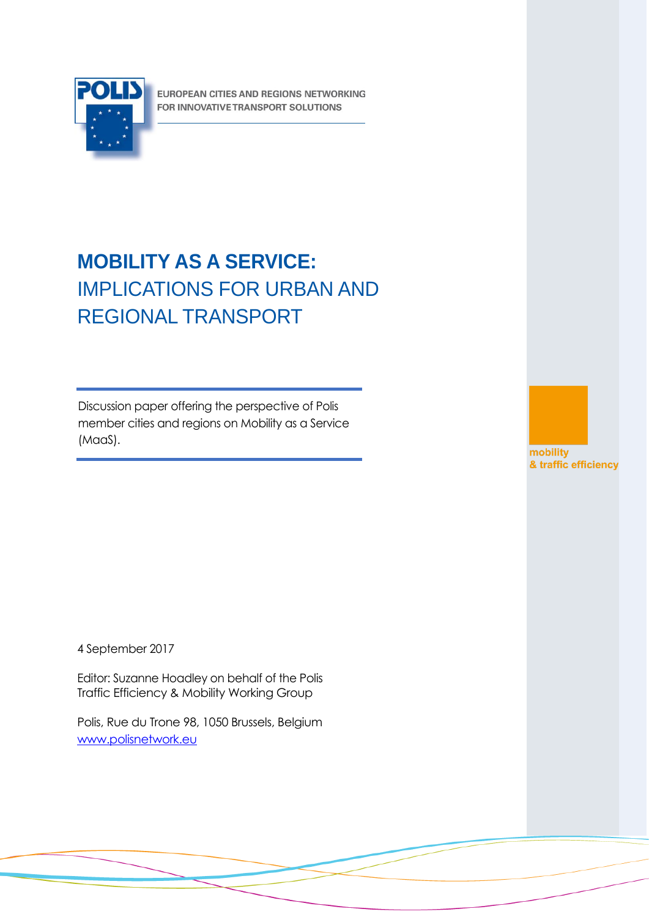

EUROPEAN CITIES AND REGIONS NETWORKING FOR INNOVATIVE TRANSPORT SOLUTIONS

# **MOBILITY AS A SERVICE:**  IMPLICATIONS FOR URBAN AND REGIONAL TRANSPORT

Discussion paper offering the perspective of Polis member cities and regions on Mobility as a Service (MaaS).



4 September 2017

Editor: Suzanne Hoadley on behalf of the Polis Traffic Efficiency & Mobility Working Group

Polis, Rue du Trone 98, 1050 Brussels, Belgium [www.polisnetwork.eu](http://www.polisnetwork.eu/)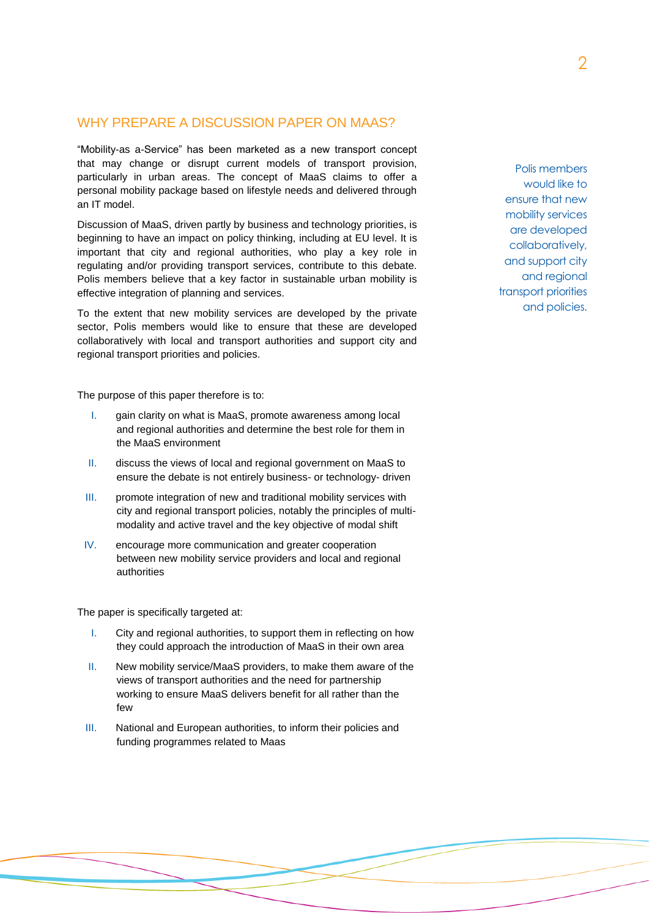# WHY PREPARE A DISCUSSION PAPER ON MAAS?

"Mobility-as a-Service" has been marketed as a new transport concept that may change or disrupt current models of transport provision, particularly in urban areas. The concept of MaaS claims to offer a personal mobility package based on lifestyle needs and delivered through an IT model.

Discussion of MaaS, driven partly by business and technology priorities, is beginning to have an impact on policy thinking, including at EU level. It is important that city and regional authorities, who play a key role in regulating and/or providing transport services, contribute to this debate. Polis members believe that a key factor in sustainable urban mobility is effective integration of planning and services.

To the extent that new mobility services are developed by the private sector, Polis members would like to ensure that these are developed collaboratively with local and transport authorities and support city and regional transport priorities and policies.

The purpose of this paper therefore is to:

- I. gain clarity on what is MaaS, promote awareness among local and regional authorities and determine the best role for them in the MaaS environment
- II. discuss the views of local and regional government on MaaS to ensure the debate is not entirely business- or technology- driven
- III. promote integration of new and traditional mobility services with city and regional transport policies, notably the principles of multimodality and active travel and the key objective of modal shift
- IV. encourage more communication and greater cooperation between new mobility service providers and local and regional authorities

The paper is specifically targeted at:

- I. City and regional authorities, to support them in reflecting on how they could approach the introduction of MaaS in their own area
- II. New mobility service/MaaS providers, to make them aware of the views of transport authorities and the need for partnership working to ensure MaaS delivers benefit for all rather than the few
- III. National and European authorities, to inform their policies and funding programmes related to Maas

Polis members would like to ensure that new mobility services are developed collaboratively, and support city and regional transport priorities and policies.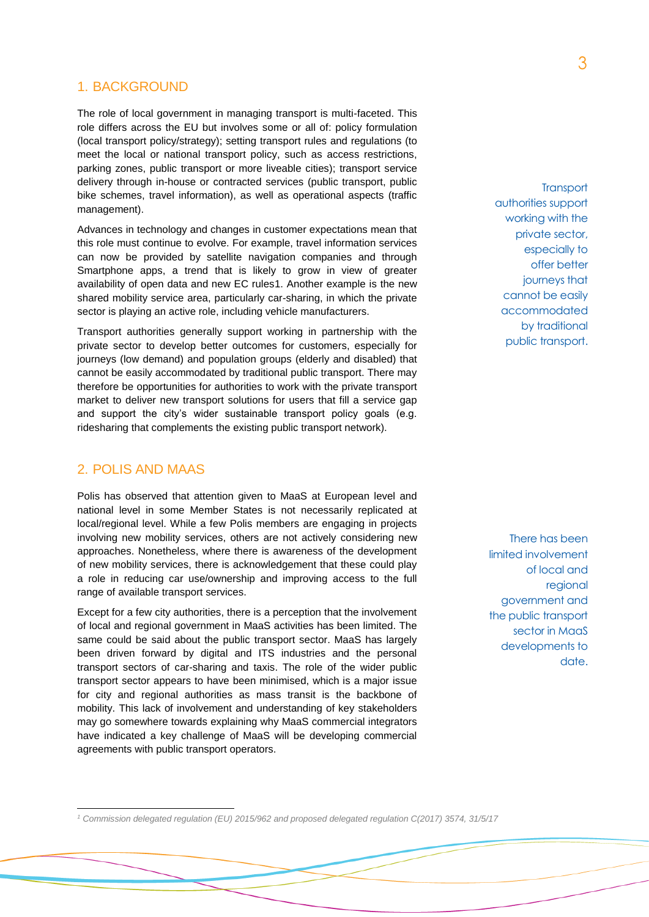### 1. BACKGROUND

The role of local government in managing transport is multi-faceted. This role differs across the EU but involves some or all of: policy formulation (local transport policy/strategy); setting transport rules and regulations (to meet the local or national transport policy, such as access restrictions, parking zones, public transport or more liveable cities); transport service delivery through in-house or contracted services (public transport, public bike schemes, travel information), as well as operational aspects (traffic management).

Advances in technology and changes in customer expectations mean that this role must continue to evolve. For example, travel information services can now be provided by satellite navigation companies and through Smartphone apps, a trend that is likely to grow in view of greater availability of open data and new EC rules1. Another example is the new shared mobility service area, particularly car-sharing, in which the private sector is playing an active role, including vehicle manufacturers.

Transport authorities generally support working in partnership with the private sector to develop better outcomes for customers, especially for journeys (low demand) and population groups (elderly and disabled) that cannot be easily accommodated by traditional public transport. There may therefore be opportunities for authorities to work with the private transport market to deliver new transport solutions for users that fill a service gap and support the city's wider sustainable transport policy goals (e.g. ridesharing that complements the existing public transport network).

# 2. POLIS AND MAAS

 $\overline{a}$ 

Polis has observed that attention given to MaaS at European level and national level in some Member States is not necessarily replicated at local/regional level. While a few Polis members are engaging in projects involving new mobility services, others are not actively considering new approaches. Nonetheless, where there is awareness of the development of new mobility services, there is acknowledgement that these could play a role in reducing car use/ownership and improving access to the full range of available transport services.

Except for a few city authorities, there is a perception that the involvement of local and regional government in MaaS activities has been limited. The same could be said about the public transport sector. MaaS has largely been driven forward by digital and ITS industries and the personal transport sectors of car-sharing and taxis. The role of the wider public transport sector appears to have been minimised, which is a major issue for city and regional authorities as mass transit is the backbone of mobility. This lack of involvement and understanding of key stakeholders may go somewhere towards explaining why MaaS commercial integrators have indicated a key challenge of MaaS will be developing commercial agreements with public transport operators.

**Transport** authorities support working with the private sector, especially to offer better journeys that cannot be easily accommodated by traditional public transport.

There has been limited involvement of local and regional government and the public transport sector in MaaS developments to date.

*<sup>1</sup> Commission delegated regulation (EU) 2015/962 and proposed delegated regulation C(2017) 3574, 31/5/17*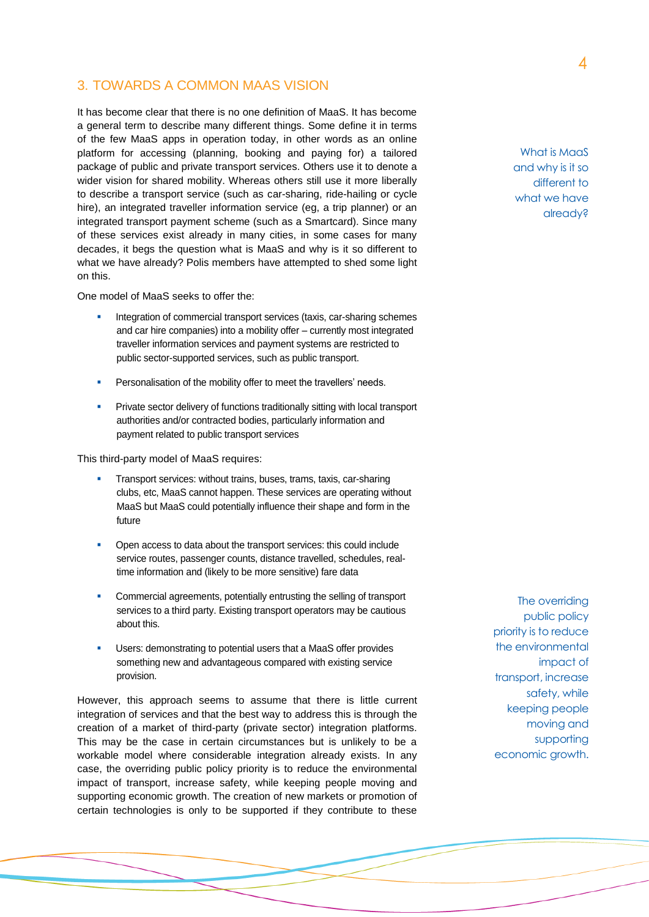# 3. TOWARDS A COMMON MAAS VISION

It has become clear that there is no one definition of MaaS. It has become a general term to describe many different things. Some define it in terms of the few MaaS apps in operation today, in other words as an online platform for accessing (planning, booking and paying for) a tailored package of public and private transport services. Others use it to denote a wider vision for shared mobility. Whereas others still use it more liberally to describe a transport service (such as car-sharing, ride-hailing or cycle hire), an integrated traveller information service (eg, a trip planner) or an integrated transport payment scheme (such as a Smartcard). Since many of these services exist already in many cities, in some cases for many decades, it begs the question what is MaaS and why is it so different to what we have already? Polis members have attempted to shed some light on this.

One model of MaaS seeks to offer the:

- Integration of commercial transport services (taxis, car-sharing schemes and car hire companies) into a mobility offer – currently most integrated traveller information services and payment systems are restricted to public sector-supported services, such as public transport.
- Personalisation of the mobility offer to meet the travellers' needs.
- Private sector delivery of functions traditionally sitting with local transport authorities and/or contracted bodies, particularly information and payment related to public transport services

This third-party model of MaaS requires:

- Transport services: without trains, buses, trams, taxis, car-sharing clubs, etc, MaaS cannot happen. These services are operating without MaaS but MaaS could potentially influence their shape and form in the future
- Open access to data about the transport services: this could include service routes, passenger counts, distance travelled, schedules, realtime information and (likely to be more sensitive) fare data
- Commercial agreements, potentially entrusting the selling of transport services to a third party. Existing transport operators may be cautious about this.
- Users: demonstrating to potential users that a MaaS offer provides something new and advantageous compared with existing service provision.

However, this approach seems to assume that there is little current integration of services and that the best way to address this is through the creation of a market of third-party (private sector) integration platforms. This may be the case in certain circumstances but is unlikely to be a workable model where considerable integration already exists. In any case, the overriding public policy priority is to reduce the environmental impact of transport, increase safety, while keeping people moving and supporting economic growth. The creation of new markets or promotion of certain technologies is only to be supported if they contribute to these

The overriding public policy priority is to reduce the environmental impact of transport, increase safety, while keeping people moving and supporting economic growth.

What is MaaS and why is it so different to what we have already?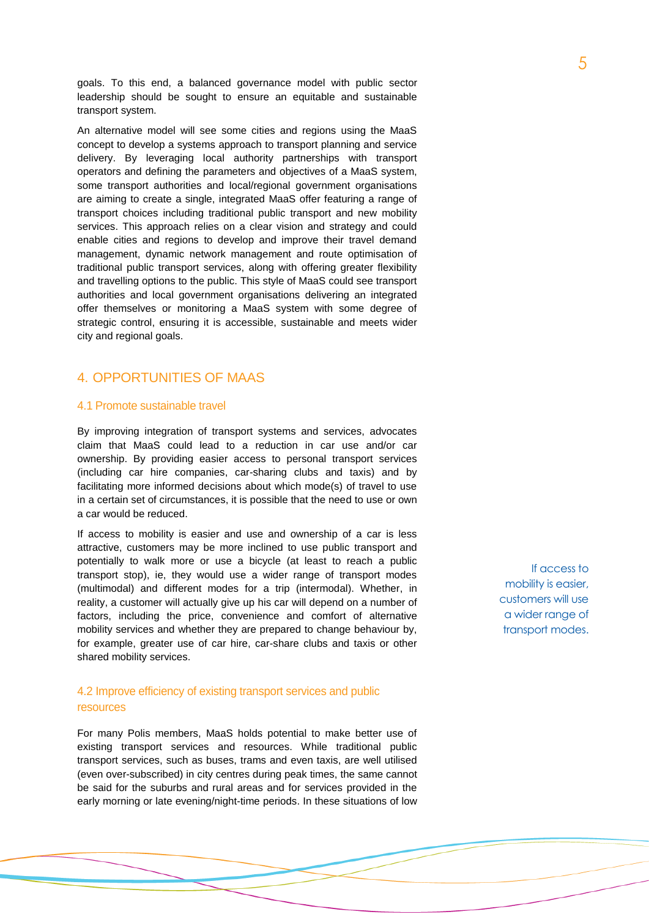goals. To this end, a balanced governance model with public sector leadership should be sought to ensure an equitable and sustainable transport system.

An alternative model will see some cities and regions using the MaaS concept to develop a systems approach to transport planning and service delivery. By leveraging local authority partnerships with transport operators and defining the parameters and objectives of a MaaS system, some transport authorities and local/regional government organisations are aiming to create a single, integrated MaaS offer featuring a range of transport choices including traditional public transport and new mobility services. This approach relies on a clear vision and strategy and could enable cities and regions to develop and improve their travel demand management, dynamic network management and route optimisation of traditional public transport services, along with offering greater flexibility and travelling options to the public. This style of MaaS could see transport authorities and local government organisations delivering an integrated offer themselves or monitoring a MaaS system with some degree of strategic control, ensuring it is accessible, sustainable and meets wider city and regional goals.

# 4. OPPORTUNITIES OF MAAS

### 4.1 Promote sustainable travel

By improving integration of transport systems and services, advocates claim that MaaS could lead to a reduction in car use and/or car ownership. By providing easier access to personal transport services (including car hire companies, car-sharing clubs and taxis) and by facilitating more informed decisions about which mode(s) of travel to use in a certain set of circumstances, it is possible that the need to use or own a car would be reduced.

If access to mobility is easier and use and ownership of a car is less attractive, customers may be more inclined to use public transport and potentially to walk more or use a bicycle (at least to reach a public transport stop), ie, they would use a wider range of transport modes (multimodal) and different modes for a trip (intermodal). Whether, in reality, a customer will actually give up his car will depend on a number of factors, including the price, convenience and comfort of alternative mobility services and whether they are prepared to change behaviour by, for example, greater use of car hire, car-share clubs and taxis or other shared mobility services.

### 4.2 Improve efficiency of existing transport services and public resources

For many Polis members, MaaS holds potential to make better use of existing transport services and resources. While traditional public transport services, such as buses, trams and even taxis, are well utilised (even over-subscribed) in city centres during peak times, the same cannot be said for the suburbs and rural areas and for services provided in the early morning or late evening/night-time periods. In these situations of low

If access to mobility is easier, customers will use a wider range of transport modes.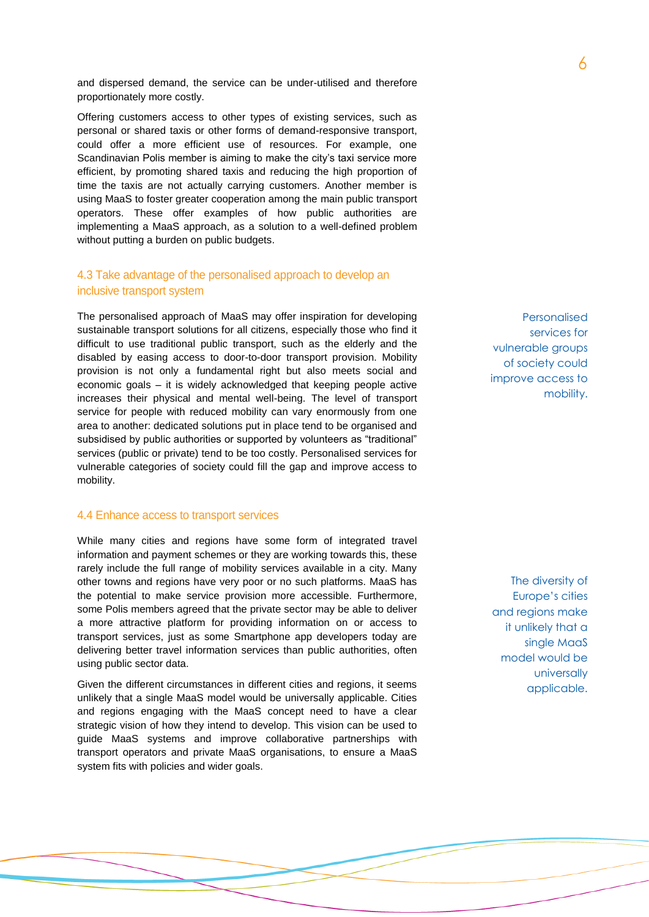and dispersed demand, the service can be under-utilised and therefore proportionately more costly.

Offering customers access to other types of existing services, such as personal or shared taxis or other forms of demand-responsive transport, could offer a more efficient use of resources. For example, one Scandinavian Polis member is aiming to make the city's taxi service more efficient, by promoting shared taxis and reducing the high proportion of time the taxis are not actually carrying customers. Another member is using MaaS to foster greater cooperation among the main public transport operators. These offer examples of how public authorities are implementing a MaaS approach, as a solution to a well-defined problem without putting a burden on public budgets.

### 4.3 Take advantage of the personalised approach to develop an inclusive transport system

The personalised approach of MaaS may offer inspiration for developing sustainable transport solutions for all citizens, especially those who find it difficult to use traditional public transport, such as the elderly and the disabled by easing access to door-to-door transport provision. Mobility provision is not only a fundamental right but also meets social and economic goals – it is widely acknowledged that keeping people active increases their physical and mental well-being. The level of transport service for people with reduced mobility can vary enormously from one area to another: dedicated solutions put in place tend to be organised and subsidised by public authorities or supported by volunteers as "traditional" services (public or private) tend to be too costly. Personalised services for vulnerable categories of society could fill the gap and improve access to mobility.

#### 4.4 Enhance access to transport services

While many cities and regions have some form of integrated travel information and payment schemes or they are working towards this, these rarely include the full range of mobility services available in a city. Many other towns and regions have very poor or no such platforms. MaaS has the potential to make service provision more accessible. Furthermore, some Polis members agreed that the private sector may be able to deliver a more attractive platform for providing information on or access to transport services, just as some Smartphone app developers today are delivering better travel information services than public authorities, often using public sector data.

Given the different circumstances in different cities and regions, it seems unlikely that a single MaaS model would be universally applicable. Cities and regions engaging with the MaaS concept need to have a clear strategic vision of how they intend to develop. This vision can be used to guide MaaS systems and improve collaborative partnerships with transport operators and private MaaS organisations, to ensure a MaaS system fits with policies and wider goals.

Personalised services for vulnerable groups of society could improve access to mobility.

The diversity of Europe's cities and regions make it unlikely that a single MaaS model would be universally applicable.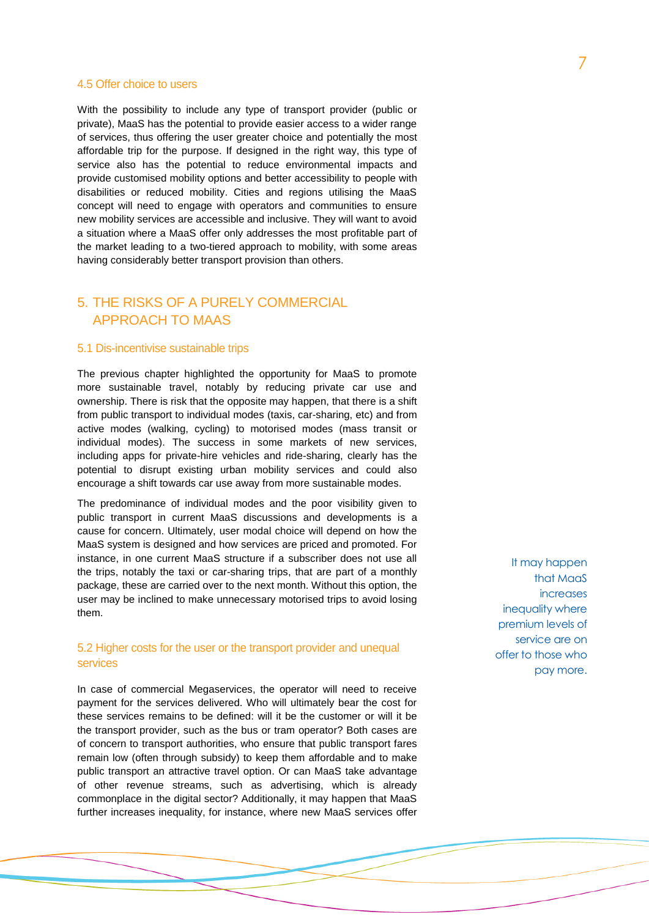### 4.5 Offer choice to users

With the possibility to include any type of transport provider (public or private), MaaS has the potential to provide easier access to a wider range of services, thus offering the user greater choice and potentially the most affordable trip for the purpose. If designed in the right way, this type of service also has the potential to reduce environmental impacts and provide customised mobility options and better accessibility to people with disabilities or reduced mobility. Cities and regions utilising the MaaS concept will need to engage with operators and communities to ensure new mobility services are accessible and inclusive. They will want to avoid a situation where a MaaS offer only addresses the most profitable part of the market leading to a two-tiered approach to mobility, with some areas having considerably better transport provision than others.

# 5. THE RISKS OF A PURELY COMMERCIAL APPROACH TO MAAS

### 5.1 Dis-incentivise sustainable trips

The previous chapter highlighted the opportunity for MaaS to promote more sustainable travel, notably by reducing private car use and ownership. There is risk that the opposite may happen, that there is a shift from public transport to individual modes (taxis, car-sharing, etc) and from active modes (walking, cycling) to motorised modes (mass transit or individual modes). The success in some markets of new services, including apps for private-hire vehicles and ride-sharing, clearly has the potential to disrupt existing urban mobility services and could also encourage a shift towards car use away from more sustainable modes.

The predominance of individual modes and the poor visibility given to public transport in current MaaS discussions and developments is a cause for concern. Ultimately, user modal choice will depend on how the MaaS system is designed and how services are priced and promoted. For instance, in one current MaaS structure if a subscriber does not use all the trips, notably the taxi or car-sharing trips, that are part of a monthly package, these are carried over to the next month. Without this option, the user may be inclined to make unnecessary motorised trips to avoid losing them.

### 5.2 Higher costs for the user or the transport provider and unequal services

In case of commercial Megaservices, the operator will need to receive payment for the services delivered. Who will ultimately bear the cost for these services remains to be defined: will it be the customer or will it be the transport provider, such as the bus or tram operator? Both cases are of concern to transport authorities, who ensure that public transport fares remain low (often through subsidy) to keep them affordable and to make public transport an attractive travel option. Or can MaaS take advantage of other revenue streams, such as advertising, which is already commonplace in the digital sector? Additionally, it may happen that MaaS further increases inequality, for instance, where new MaaS services offer

It may happen that MaaS increases inequality where premium levels of service are on offer to those who pay more.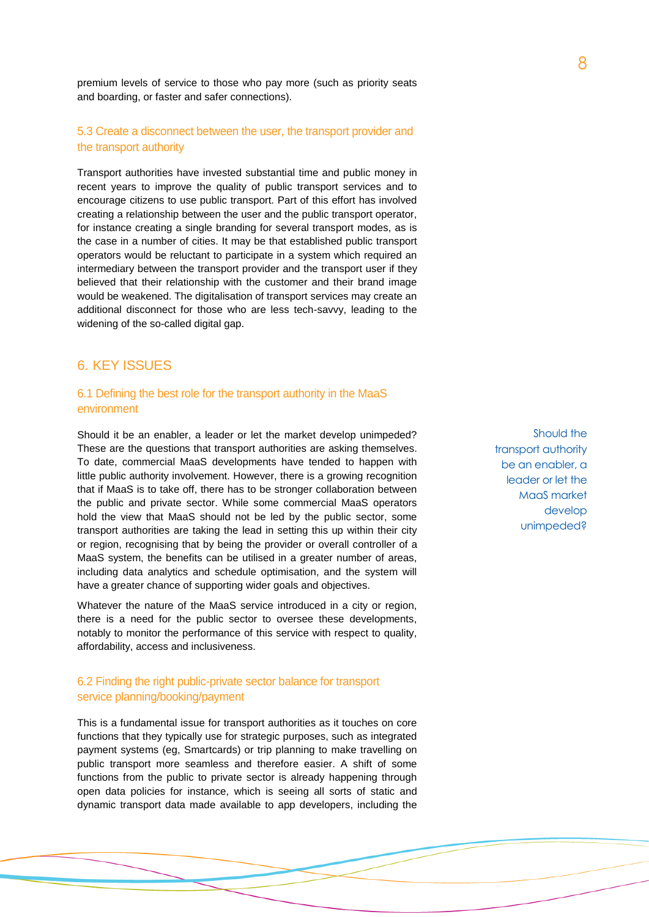premium levels of service to those who pay more (such as priority seats and boarding, or faster and safer connections).

### 5.3 Create a disconnect between the user, the transport provider and the transport authority

Transport authorities have invested substantial time and public money in recent years to improve the quality of public transport services and to encourage citizens to use public transport. Part of this effort has involved creating a relationship between the user and the public transport operator, for instance creating a single branding for several transport modes, as is the case in a number of cities. It may be that established public transport operators would be reluctant to participate in a system which required an intermediary between the transport provider and the transport user if they believed that their relationship with the customer and their brand image would be weakened. The digitalisation of transport services may create an additional disconnect for those who are less tech-savvy, leading to the widening of the so-called digital gap.

# 6. KEY ISSUES

### 6.1 Defining the best role for the transport authority in the MaaS environment

Should it be an enabler, a leader or let the market develop unimpeded? These are the questions that transport authorities are asking themselves. To date, commercial MaaS developments have tended to happen with little public authority involvement. However, there is a growing recognition that if MaaS is to take off, there has to be stronger collaboration between the public and private sector. While some commercial MaaS operators hold the view that MaaS should not be led by the public sector, some transport authorities are taking the lead in setting this up within their city or region, recognising that by being the provider or overall controller of a MaaS system, the benefits can be utilised in a greater number of areas, including data analytics and schedule optimisation, and the system will have a greater chance of supporting wider goals and objectives.

Whatever the nature of the MaaS service introduced in a city or region, there is a need for the public sector to oversee these developments, notably to monitor the performance of this service with respect to quality, affordability, access and inclusiveness.

### 6.2 Finding the right public-private sector balance for transport service planning/booking/payment

This is a fundamental issue for transport authorities as it touches on core functions that they typically use for strategic purposes, such as integrated payment systems (eg, Smartcards) or trip planning to make travelling on public transport more seamless and therefore easier. A shift of some functions from the public to private sector is already happening through open data policies for instance, which is seeing all sorts of static and dynamic transport data made available to app developers, including the

Should the transport authority be an enabler, a leader or let the MaaS market develop unimpeded?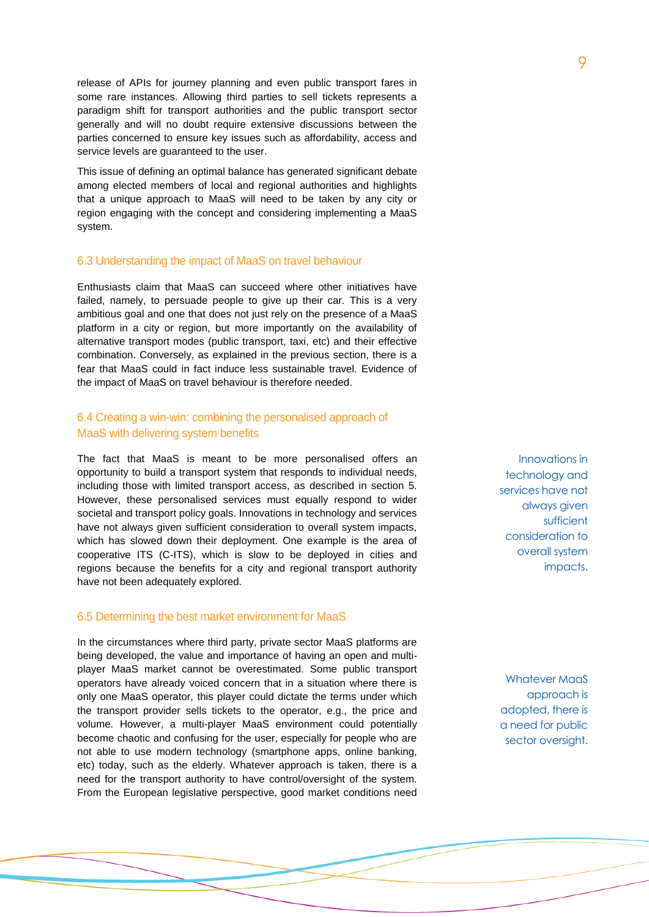release of APIs for journey planning and even public transport fares in some rare instances. Allowing third parties to sell tickets represents a paradigm shift for transport authorities and the public transport sector generally and will no doubt require extensive discussions between the parties concerned to ensure key issues such as affordability, access and service levels are guaranteed to the user.

This issue of defining an optimal balance has generated significant debate among elected members of local and regional authorities and highlights that a unique approach to MaaS will need to be taken by any city or region engaging with the concept and considering implementing a MaaS system.

### 6.3 Understanding the impact of MaaS on travel behaviour

Enthusiasts claim that MaaS can succeed where other initiatives have failed, namely, to persuade people to give up their car. This is a very ambitious goal and one that does not just rely on the presence of a MaaS platform in a city or region, but more importantly on the availability of alternative transport modes (public transport, taxi, etc) and their effective combination. Conversely, as explained in the previous section, there is a fear that MaaS could in fact induce less sustainable travel. Evidence of the impact of MaaS on travel behaviour is therefore needed.

### 6.4 Creating a win-win: combining the personalised approach of MaaS with delivering system benefits

The fact that MaaS is meant to be more personalised offers an opportunity to build a transport system that responds to individual needs, including those with limited transport access, as described in section 5. However, these personalised services must equally respond to wider societal and transport policy goals. Innovations in technology and services have not always given sufficient consideration to overall system impacts, which has slowed down their deployment. One example is the area of cooperative ITS (C-ITS), which is slow to be deployed in cities and regions because the benefits for a city and regional transport authority have not been adequately explored.

#### 6.5 Determining the best market environment for MaaS

In the circumstances where third party, private sector MaaS platforms are being developed, the value and importance of having an open and multiplayer MaaS market cannot be overestimated. Some public transport operators have already voiced concern that in a situation where there is only one MaaS operator, this player could dictate the terms under which the transport provider sells tickets to the operator, e.g., the price and volume. However, a multi-player MaaS environment could potentially become chaotic and confusing for the user, especially for people who are not able to use modern technology (smartphone apps, online banking, etc) today, such as the elderly. Whatever approach is taken, there is a need for the transport authority to have control/oversight of the system. From the European legislative perspective, good market conditions need

Innovations in technology and services have not always given sufficient consideration to overall system impacts.

Whatever MaaS approach is adopted, there is a need for public sector oversight.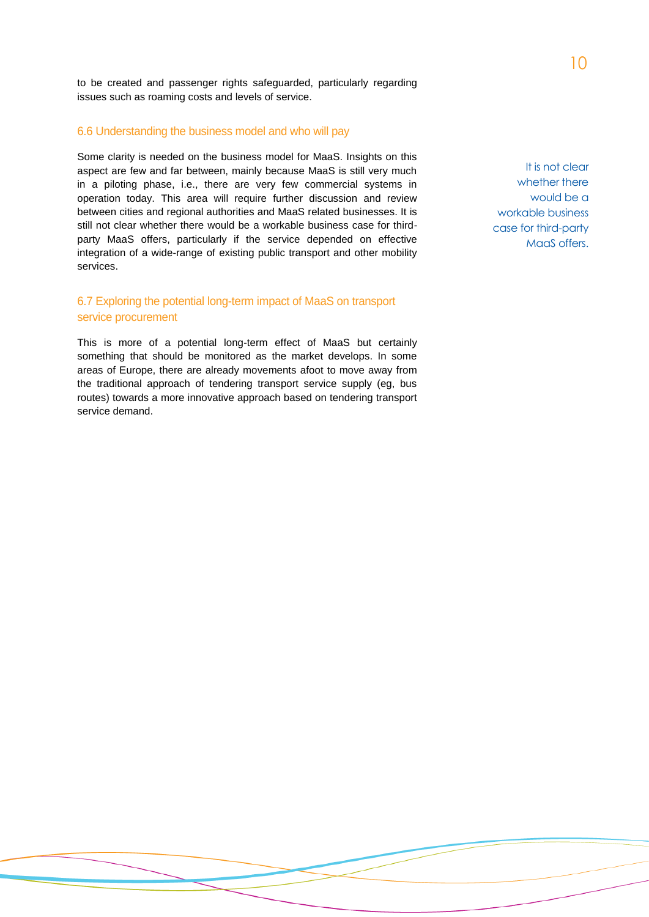to be created and passenger rights safeguarded, particularly regarding issues such as roaming costs and levels of service.

### 6.6 Understanding the business model and who will pay

Some clarity is needed on the business model for MaaS. Insights on this aspect are few and far between, mainly because MaaS is still very much in a piloting phase, i.e., there are very few commercial systems in operation today. This area will require further discussion and review between cities and regional authorities and MaaS related businesses. It is still not clear whether there would be a workable business case for thirdparty MaaS offers, particularly if the service depended on effective integration of a wide-range of existing public transport and other mobility services.

### 6.7 Exploring the potential long-term impact of MaaS on transport service procurement

This is more of a potential long-term effect of MaaS but certainly something that should be monitored as the market develops. In some areas of Europe, there are already movements afoot to move away from the traditional approach of tendering transport service supply (eg, bus routes) towards a more innovative approach based on tendering transport service demand.

It is not clear whether there would be a workable business case for third-party MaaS offers.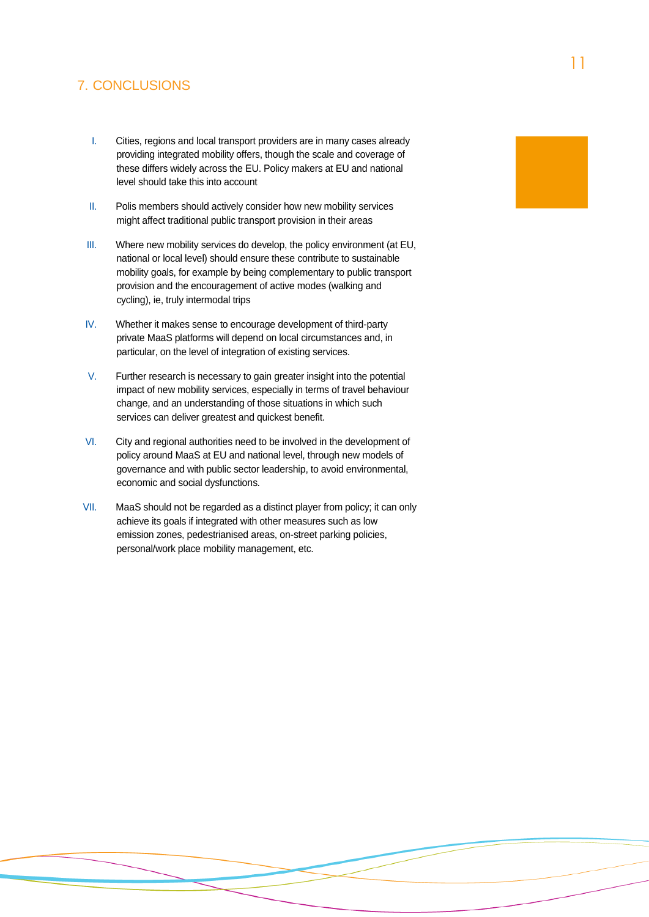# 7. CONCLUSIONS

- I. Cities, regions and local transport providers are in many cases already providing integrated mobility offers, though the scale and coverage of these differs widely across the EU. Policy makers at EU and national level should take this into account
- II. Polis members should actively consider how new mobility services might affect traditional public transport provision in their areas
- III. Where new mobility services do develop, the policy environment (at EU, national or local level) should ensure these contribute to sustainable mobility goals, for example by being complementary to public transport provision and the encouragement of active modes (walking and cycling), ie, truly intermodal trips
- IV. Whether it makes sense to encourage development of third-party private MaaS platforms will depend on local circumstances and, in particular, on the level of integration of existing services.
- V. Further research is necessary to gain greater insight into the potential impact of new mobility services, especially in terms of travel behaviour change, and an understanding of those situations in which such services can deliver greatest and quickest benefit.
- VI. City and regional authorities need to be involved in the development of policy around MaaS at EU and national level, through new models of governance and with public sector leadership, to avoid environmental, economic and social dysfunctions.
- VII. MaaS should not be regarded as a distinct player from policy; it can only achieve its goals if integrated with other measures such as low emission zones, pedestrianised areas, on-street parking policies, personal/work place mobility management, etc.